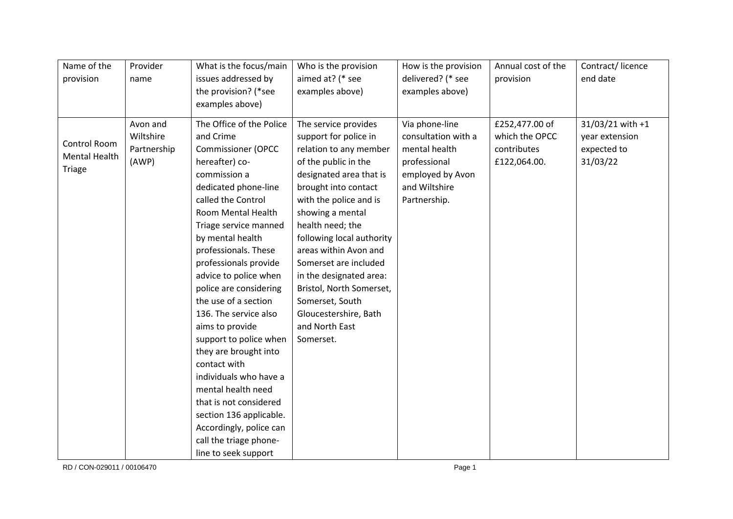| Name of the          | Provider    | What is the focus/main    | Who is the provision      | How is the provision | Annual cost of the | Contract/licence |
|----------------------|-------------|---------------------------|---------------------------|----------------------|--------------------|------------------|
| provision            | name        | issues addressed by       | aimed at? (* see          | delivered? (* see    | provision          | end date         |
|                      |             | the provision? (*see      | examples above)           | examples above)      |                    |                  |
|                      |             | examples above)           |                           |                      |                    |                  |
|                      | Avon and    | The Office of the Police  | The service provides      | Via phone-line       | £252,477.00 of     | 31/03/21 with +1 |
|                      | Wiltshire   | and Crime                 | support for police in     | consultation with a  | which the OPCC     | year extension   |
| Control Room         | Partnership | <b>Commissioner (OPCC</b> | relation to any member    | mental health        | contributes        | expected to      |
| <b>Mental Health</b> | (AWP)       | hereafter) co-            | of the public in the      | professional         | £122,064.00.       | 31/03/22         |
| <b>Triage</b>        |             |                           |                           |                      |                    |                  |
|                      |             | commission a              | designated area that is   | employed by Avon     |                    |                  |
|                      |             | dedicated phone-line      | brought into contact      | and Wiltshire        |                    |                  |
|                      |             | called the Control        | with the police and is    | Partnership.         |                    |                  |
|                      |             | Room Mental Health        | showing a mental          |                      |                    |                  |
|                      |             | Triage service manned     | health need; the          |                      |                    |                  |
|                      |             | by mental health          | following local authority |                      |                    |                  |
|                      |             | professionals. These      | areas within Avon and     |                      |                    |                  |
|                      |             | professionals provide     | Somerset are included     |                      |                    |                  |
|                      |             | advice to police when     | in the designated area:   |                      |                    |                  |
|                      |             | police are considering    | Bristol, North Somerset,  |                      |                    |                  |
|                      |             | the use of a section      | Somerset, South           |                      |                    |                  |
|                      |             | 136. The service also     | Gloucestershire, Bath     |                      |                    |                  |
|                      |             | aims to provide           | and North East            |                      |                    |                  |
|                      |             | support to police when    | Somerset.                 |                      |                    |                  |
|                      |             | they are brought into     |                           |                      |                    |                  |
|                      |             | contact with              |                           |                      |                    |                  |
|                      |             | individuals who have a    |                           |                      |                    |                  |
|                      |             | mental health need        |                           |                      |                    |                  |
|                      |             | that is not considered    |                           |                      |                    |                  |
|                      |             | section 136 applicable.   |                           |                      |                    |                  |
|                      |             | Accordingly, police can   |                           |                      |                    |                  |
|                      |             | call the triage phone-    |                           |                      |                    |                  |
|                      |             | line to seek support      |                           |                      |                    |                  |

RD / CON-029011 / 00106470 Page 1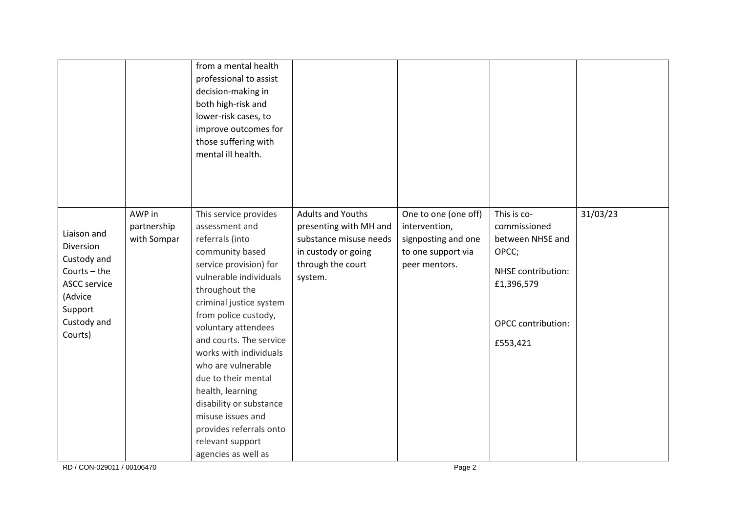|                                                                                                                                  |                                      | from a mental health<br>professional to assist<br>decision-making in<br>both high-risk and<br>lower-risk cases, to<br>improve outcomes for<br>those suffering with<br>mental ill health.                                                                                                                                                                                                                                                                                  |                                                                                                                                     |                                                                                                     |                                                                                                                                       |          |
|----------------------------------------------------------------------------------------------------------------------------------|--------------------------------------|---------------------------------------------------------------------------------------------------------------------------------------------------------------------------------------------------------------------------------------------------------------------------------------------------------------------------------------------------------------------------------------------------------------------------------------------------------------------------|-------------------------------------------------------------------------------------------------------------------------------------|-----------------------------------------------------------------------------------------------------|---------------------------------------------------------------------------------------------------------------------------------------|----------|
| Liaison and<br>Diversion<br>Custody and<br>Courts $-$ the<br><b>ASCC service</b><br>(Advice<br>Support<br>Custody and<br>Courts) | AWP in<br>partnership<br>with Sompar | This service provides<br>assessment and<br>referrals (into<br>community based<br>service provision) for<br>vulnerable individuals<br>throughout the<br>criminal justice system<br>from police custody,<br>voluntary attendees<br>and courts. The service<br>works with individuals<br>who are vulnerable<br>due to their mental<br>health, learning<br>disability or substance<br>misuse issues and<br>provides referrals onto<br>relevant support<br>agencies as well as | <b>Adults and Youths</b><br>presenting with MH and<br>substance misuse needs<br>in custody or going<br>through the court<br>system. | One to one (one off)<br>intervention,<br>signposting and one<br>to one support via<br>peer mentors. | This is co-<br>commissioned<br>between NHSE and<br>OPCC;<br>NHSE contribution:<br>£1,396,579<br><b>OPCC</b> contribution:<br>£553,421 | 31/03/23 |

RD / CON-029011 / 00106470 Page 2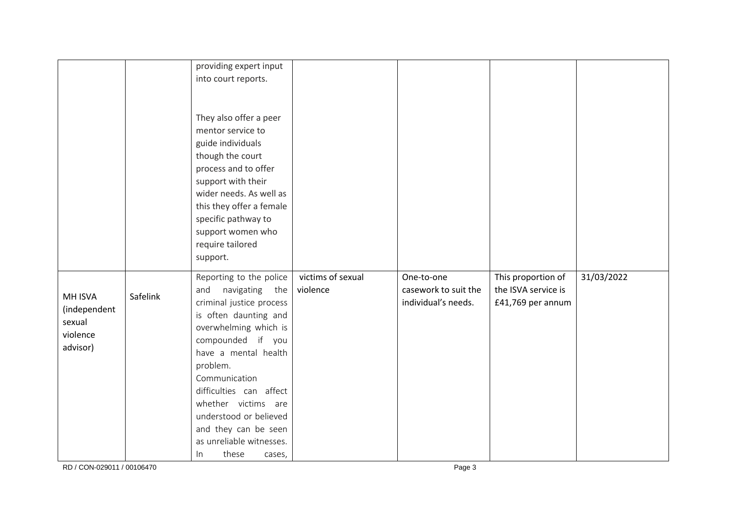|              |          | providing expert input   |                   |                      |                     |            |
|--------------|----------|--------------------------|-------------------|----------------------|---------------------|------------|
|              |          | into court reports.      |                   |                      |                     |            |
|              |          |                          |                   |                      |                     |            |
|              |          |                          |                   |                      |                     |            |
|              |          | They also offer a peer   |                   |                      |                     |            |
|              |          | mentor service to        |                   |                      |                     |            |
|              |          | guide individuals        |                   |                      |                     |            |
|              |          | though the court         |                   |                      |                     |            |
|              |          | process and to offer     |                   |                      |                     |            |
|              |          | support with their       |                   |                      |                     |            |
|              |          | wider needs. As well as  |                   |                      |                     |            |
|              |          | this they offer a female |                   |                      |                     |            |
|              |          | specific pathway to      |                   |                      |                     |            |
|              |          | support women who        |                   |                      |                     |            |
|              |          | require tailored         |                   |                      |                     |            |
|              |          | support.                 |                   |                      |                     |            |
|              |          |                          |                   |                      |                     |            |
|              |          | Reporting to the police  | victims of sexual | One-to-one           | This proportion of  | 31/03/2022 |
| MH ISVA      | Safelink | navigating<br>and<br>the | violence          | casework to suit the | the ISVA service is |            |
| (independent |          | criminal justice process |                   | individual's needs.  | £41,769 per annum   |            |
| sexual       |          | is often daunting and    |                   |                      |                     |            |
| violence     |          | overwhelming which is    |                   |                      |                     |            |
| advisor)     |          | compounded if you        |                   |                      |                     |            |
|              |          | have a mental health     |                   |                      |                     |            |
|              |          | problem.                 |                   |                      |                     |            |
|              |          | Communication            |                   |                      |                     |            |
|              |          | difficulties can affect  |                   |                      |                     |            |
|              |          | whether victims are      |                   |                      |                     |            |
|              |          | understood or believed   |                   |                      |                     |            |
|              |          | and they can be seen     |                   |                      |                     |            |
|              |          | as unreliable witnesses. |                   |                      |                     |            |
|              |          | these<br>$\ln$<br>cases, |                   |                      |                     |            |

RD / CON-029011 / 00106470 Page 3